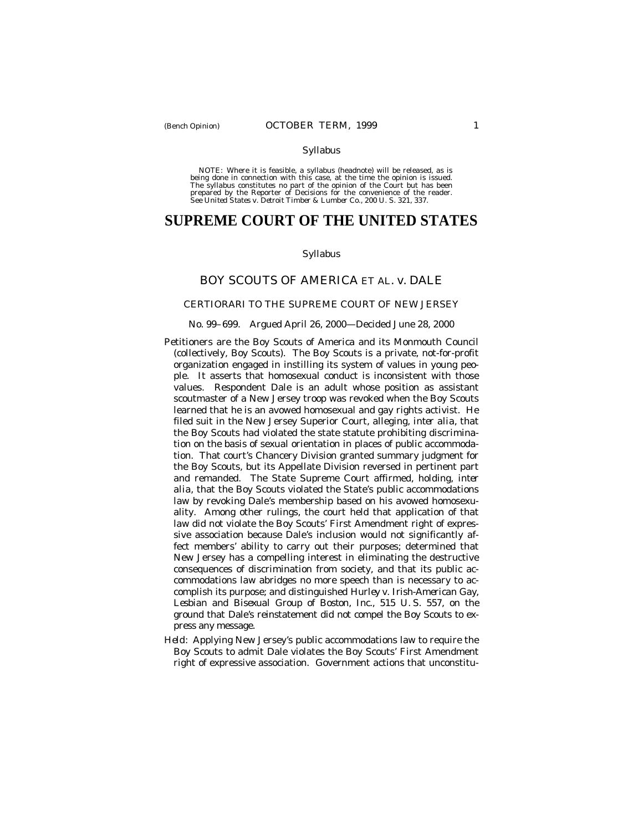#### Syllabus

NOTE: Where it is feasible, a syllabus (headnote) will be released, as is being done in connection with this case, at the time the opinion is issued. The syllabus constitutes no part of the opinion of the Court but has been<br>prepared by the Reporter of Decisions for the convenience of the reader.<br>See United States v. Detroit Timber & Lumber Co., 200 U. S. 321, 337.

# **SUPREME COURT OF THE UNITED STATES**

### Syllabus

# BOY SCOUTS OF AMERICA ET AL. *v.* DALE

#### CERTIORARI TO THE SUPREME COURT OF NEW JERSEY

#### No. 99–699. Argued April 26, 2000— Decided June 28, 2000

- Petitioners are the Boy Scouts of America and its Monmouth Council (collectively, Boy Scouts). The Boy Scouts is a private, not-for-profit organization engaged in instilling its system of values in young people. It asserts that homosexual conduct is inconsistent with those values. Respondent Dale is an adult whose position as assistant scoutmaster of a New Jersey troop was revoked when the Boy Scouts learned that he is an avowed homosexual and gay rights activist. He filed suit in the New Jersey Superior Court, alleging, *inter alia*, that the Boy Scouts had violated the state statute prohibiting discrimination on the basis of sexual orientation in places of public accommodation. That court's Chancery Division granted summary judgment for the Boy Scouts, but its Appellate Division reversed in pertinent part and remanded. The State Supreme Court affirmed, holding, *inter alia*, that the Boy Scouts violated the State's public accommodations law by revoking Dale's membership based on his avowed homosexuality. Among other rulings, the court held that application of that law did not violate the Boy Scouts' First Amendment right of expressive association because Dale's inclusion would not significantly affect members' ability to carry out their purposes; determined that New Jersey has a compelling interest in eliminating the destructive consequences of discrimination from society, and that its public accommodations law abridges no more speech than is necessary to accomplish its purpose; and distinguished *Hurley* v. *Irish-American Gay, Lesbian and Bisexual Group of Boston, Inc.,* 515 U. S. 557, on the ground that Dale's reinstatement did not compel the Boy Scouts to express any message.
- *Held:* Applying New Jersey's public accommodations law to require the Boy Scouts to admit Dale violates the Boy Scouts' First Amendment right of expressive association. Government actions that unconstitu-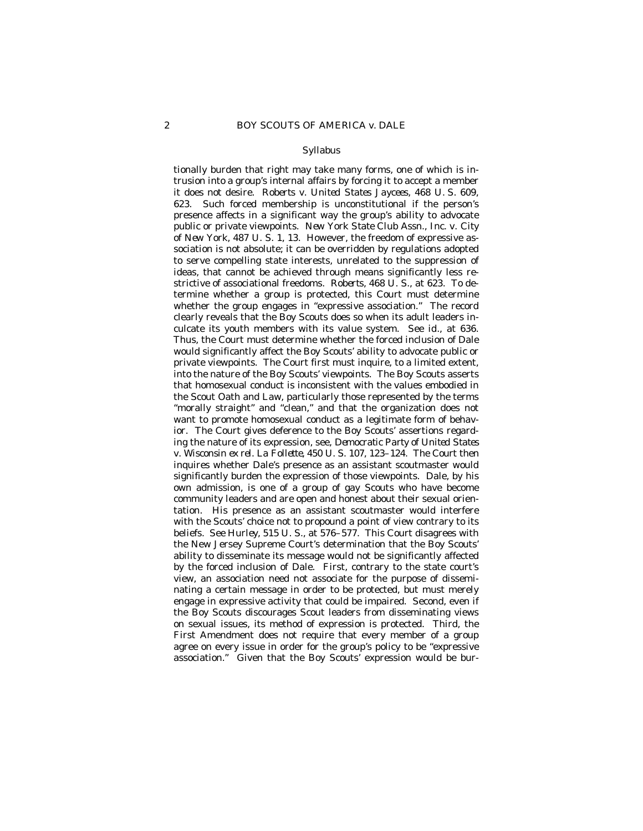#### Syllabus

tionally burden that right may take many forms, one of which is intrusion into a group's internal affairs by forcing it to accept a member it does not desire. *Roberts* v. *United States Jaycees,* 468 U. S. 609, 623. Such forced membership is unconstitutional if the person's presence affects in a significant way the group's ability to advocate public or private viewpoints. *New York State Club Assn., Inc.* v. *City of New York,* 487 U. S. 1, 13. However, the freedom of expressive association is not absolute; it can be overridden by regulations adopted to serve compelling state interests, unrelated to the suppression of ideas, that cannot be achieved through means significantly less restrictive of associational freedoms. *Roberts,* 468 U. S., at 623. To determine whether a group is protected, this Court must determine whether the group engages in "expressive association." The record clearly reveals that the Boy Scouts does so when its adult leaders inculcate its youth members with its value system. See *id.,* at 636. Thus, the Court must determine whether the forced inclusion of Dale would significantly affect the Boy Scouts' ability to advocate public or private viewpoints. The Court first must inquire, to a limited extent, into the nature of the Boy Scouts' viewpoints. The Boy Scouts asserts that homosexual conduct is inconsistent with the values embodied in the Scout Oath and Law, particularly those represented by the terms "morally straight" and "clean," and that the organization does not want to promote homosexual conduct as a legitimate form of behavior. The Court gives deference to the Boy Scouts' assertions regarding the nature of its expression, see, *Democratic Party of United States* v. *Wisconsin ex rel. La Follette,* 450 U. S. 107, 123–124. The Court then inquires whether Dale's presence as an assistant scoutmaster would significantly burden the expression of those viewpoints. Dale, by his own admission, is one of a group of gay Scouts who have become community leaders and are open and honest about their sexual orientation. His presence as an assistant scoutmaster would interfere with the Scouts' choice not to propound a point of view contrary to its beliefs. See *Hurley,* 515 U. S., at 576–577. This Court disagrees with the New Jersey Supreme Court's determination that the Boy Scouts' ability to disseminate its message would not be significantly affected by the forced inclusion of Dale. First, contrary to the state court's view, an association need not associate for the purpose of disseminating a certain message in order to be protected, but must merely engage in expressive activity that could be impaired. Second, even if the Boy Scouts discourages Scout leaders from disseminating views on sexual issues, its method of expression is protected. Third, the First Amendment does not require that every member of a group agree on every issue in order for the group's policy to be "expressive association." Given that the Boy Scouts' expression would be bur-